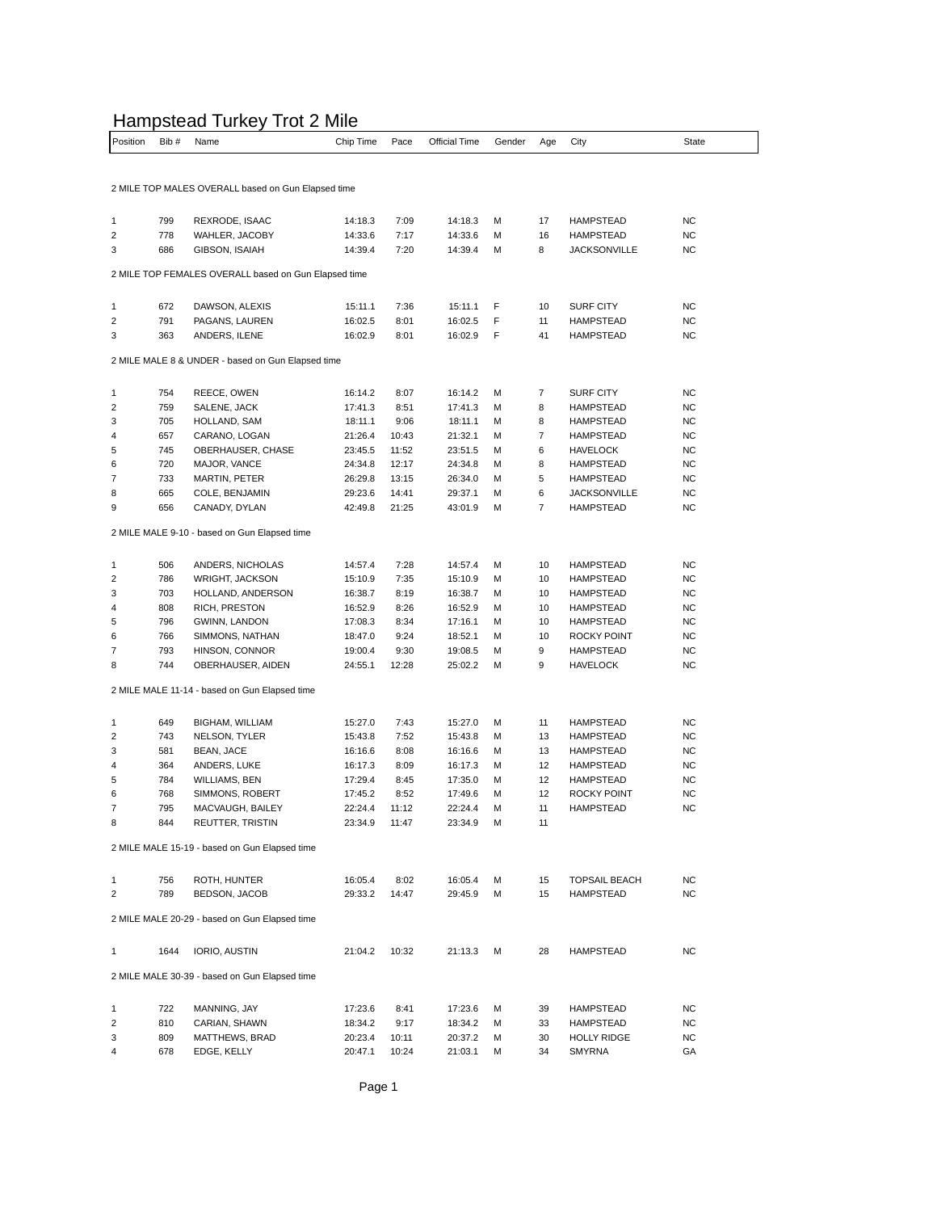## Hampstead Turkey Trot 2 Mile

| Position       | Bib# | Name                                                 | Chip Time | Pace  | Official Time | Gender | Age            | City                 | State     |
|----------------|------|------------------------------------------------------|-----------|-------|---------------|--------|----------------|----------------------|-----------|
|                |      |                                                      |           |       |               |        |                |                      |           |
|                |      | 2 MILE TOP MALES OVERALL based on Gun Elapsed time   |           |       |               |        |                |                      |           |
| 1              | 799  | REXRODE, ISAAC                                       | 14:18.3   | 7:09  | 14:18.3       | M      | 17             | <b>HAMPSTEAD</b>     | <b>NC</b> |
| 2              | 778  | WAHLER, JACOBY                                       | 14:33.6   | 7:17  | 14:33.6       | М      | 16             | <b>HAMPSTEAD</b>     | <b>NC</b> |
| 3              | 686  | GIBSON, ISAIAH                                       | 14:39.4   | 7:20  | 14:39.4       | М      | 8              | <b>JACKSONVILLE</b>  | <b>NC</b> |
|                |      | 2 MILE TOP FEMALES OVERALL based on Gun Elapsed time |           |       |               |        |                |                      |           |
| 1              | 672  | DAWSON, ALEXIS                                       | 15:11.1   | 7:36  | 15:11.1       | F      | 10             | <b>SURF CITY</b>     | <b>NC</b> |
| 2              | 791  | PAGANS, LAUREN                                       | 16:02.5   | 8:01  | 16:02.5       | F      | 11             | <b>HAMPSTEAD</b>     | <b>NC</b> |
| 3              | 363  | ANDERS, ILENE                                        | 16:02.9   | 8:01  | 16:02.9       | F      | 41             | <b>HAMPSTEAD</b>     | NC        |
|                |      | 2 MILE MALE 8 & UNDER - based on Gun Elapsed time    |           |       |               |        |                |                      |           |
|                | 754  | REECE, OWEN                                          | 16:14.2   | 8:07  | 16:14.2       | M      | 7              | <b>SURF CITY</b>     | NC        |
| 1<br>2         | 759  | SALENE, JACK                                         | 17:41.3   | 8:51  | 17:41.3       | М      | 8              | <b>HAMPSTEAD</b>     | <b>NC</b> |
| 3              | 705  | HOLLAND, SAM                                         | 18:11.1   | 9:06  | 18:11.1       | М      | 8              | <b>HAMPSTEAD</b>     | <b>NC</b> |
| 4              | 657  | CARANO, LOGAN                                        | 21:26.4   | 10:43 | 21:32.1       | М      | $\overline{7}$ | <b>HAMPSTEAD</b>     | NC        |
| 5              | 745  | OBERHAUSER, CHASE                                    | 23:45.5   | 11:52 | 23:51.5       | M      | 6              | <b>HAVELOCK</b>      | NC        |
| 6              | 720  | MAJOR, VANCE                                         | 24:34.8   | 12:17 | 24:34.8       | М      | 8              | <b>HAMPSTEAD</b>     | <b>NC</b> |
| 7              | 733  | MARTIN, PETER                                        | 26:29.8   | 13:15 | 26:34.0       | M      | 5              | <b>HAMPSTEAD</b>     | NC        |
| 8              | 665  | COLE, BENJAMIN                                       | 29:23.6   | 14:41 | 29:37.1       | М      | 6              | <b>JACKSONVILLE</b>  | NC        |
| 9              | 656  | CANADY, DYLAN                                        | 42:49.8   | 21:25 | 43:01.9       | M      | $\overline{7}$ | <b>HAMPSTEAD</b>     | <b>NC</b> |
|                |      | 2 MILE MALE 9-10 - based on Gun Elapsed time         |           |       |               |        |                |                      |           |
|                |      |                                                      |           |       |               |        |                |                      |           |
| 1              | 506  | ANDERS, NICHOLAS                                     | 14:57.4   | 7:28  | 14:57.4       | M      | 10             | <b>HAMPSTEAD</b>     | <b>NC</b> |
| 2              | 786  | <b>WRIGHT, JACKSON</b>                               | 15:10.9   | 7:35  | 15:10.9       | М      | 10             | <b>HAMPSTEAD</b>     | NC        |
| 3              | 703  | HOLLAND, ANDERSON                                    | 16:38.7   | 8:19  | 16:38.7       | М      | 10             | <b>HAMPSTEAD</b>     | <b>NC</b> |
| 4              | 808  | RICH, PRESTON                                        | 16:52.9   | 8:26  | 16:52.9       | М      | 10             | <b>HAMPSTEAD</b>     | NC        |
| 5              | 796  | GWINN, LANDON                                        | 17:08.3   | 8:34  | 17:16.1       | M      | 10             | <b>HAMPSTEAD</b>     | <b>NC</b> |
| 6              | 766  | SIMMONS, NATHAN                                      | 18:47.0   | 9:24  | 18:52.1       | М      | 10             | ROCKY POINT          | NC        |
| 7              | 793  | HINSON, CONNOR                                       | 19:00.4   | 9:30  | 19:08.5       | М      | 9              | <b>HAMPSTEAD</b>     | <b>NC</b> |
| 8              | 744  | OBERHAUSER, AIDEN                                    | 24:55.1   | 12:28 | 25:02.2       | М      | 9              | <b>HAVELOCK</b>      | NC        |
|                |      | 2 MILE MALE 11-14 - based on Gun Elapsed time        |           |       |               |        |                |                      |           |
| 1              | 649  | BIGHAM, WILLIAM                                      | 15:27.0   | 7:43  | 15:27.0       | M      | 11             | <b>HAMPSTEAD</b>     | NC        |
| 2              | 743  | NELSON, TYLER                                        | 15:43.8   | 7:52  | 15:43.8       | М      | 13             | <b>HAMPSTEAD</b>     | NC        |
| 3              | 581  | BEAN, JACE                                           | 16:16.6   | 8:08  | 16:16.6       | M      | 13             | <b>HAMPSTEAD</b>     | <b>NC</b> |
| 4              | 364  | ANDERS, LUKE                                         | 16:17.3   | 8:09  | 16:17.3       | М      | 12             | <b>HAMPSTEAD</b>     | NC        |
| 5              | 784  | WILLIAMS, BEN                                        | 17:29.4   | 8:45  | 17:35.0       | М      | 12             | <b>HAMPSTEAD</b>     | <b>NC</b> |
| 6              | 768  | SIMMONS, ROBERT                                      | 17:45.2   | 8:52  | 17:49.6       | М      | 12             | ROCKY POINT          | <b>NC</b> |
| 7              | 795  | MACVAUGH, BAILEY                                     | 22:24.4   | 11:12 | 22:24.4       | М      | 11             | <b>HAMPSTEAD</b>     | <b>NC</b> |
| 8              | 844  | REUTTER, TRISTIN                                     | 23:34.9   | 11:47 | 23:34.9       | M      | 11             |                      |           |
|                |      | 2 MILE MALE 15-19 - based on Gun Elapsed time        |           |       |               |        |                |                      |           |
| 1              | 756  | ROTH, HUNTER                                         | 16:05.4   | 8:02  | 16:05.4       | М      | 15             | <b>TOPSAIL BEACH</b> | <b>NC</b> |
| $\overline{2}$ | 789  | BEDSON, JACOB                                        | 29:33.2   | 14:47 | 29:45.9       | М      | 15             | <b>HAMPSTEAD</b>     | <b>NC</b> |
|                |      | 2 MILE MALE 20-29 - based on Gun Elapsed time        |           |       |               |        |                |                      |           |
| $\mathbf{1}$   | 1644 | IORIO, AUSTIN                                        | 21:04.2   | 10:32 | 21:13.3       | М      | 28             | <b>HAMPSTEAD</b>     | <b>NC</b> |
|                |      | 2 MILE MALE 30-39 - based on Gun Elapsed time        |           |       |               |        |                |                      |           |
|                |      |                                                      |           |       |               |        |                |                      |           |
| 1              | 722  | MANNING, JAY                                         | 17:23.6   | 8:41  | 17:23.6       | М      | 39             | HAMPSTEAD            | <b>NC</b> |
| 2              | 810  | CARIAN, SHAWN                                        | 18:34.2   | 9:17  | 18:34.2       | М      | 33             | HAMPSTEAD            | <b>NC</b> |
| 3              | 809  | MATTHEWS, BRAD                                       | 20:23.4   | 10:11 | 20:37.2       | М      | 30             | <b>HOLLY RIDGE</b>   | <b>NC</b> |
| 4              | 678  | EDGE, KELLY                                          | 20:47.1   | 10:24 | 21:03.1       | М      | 34             | SMYRNA               | GA        |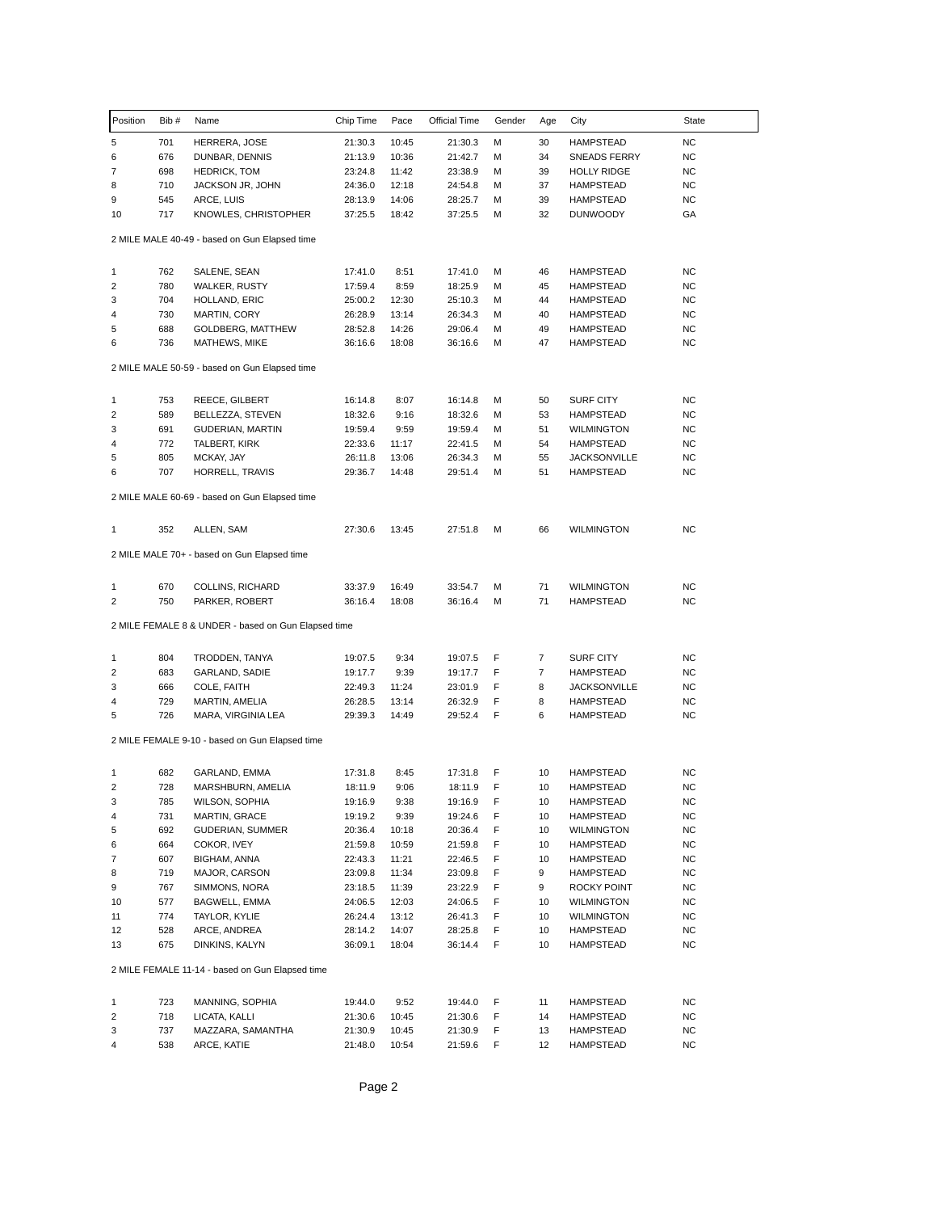| Position                | Bib#       | Name                                                | Chip Time          | Pace           | Official Time      | Gender | Age      | City                          | State                  |
|-------------------------|------------|-----------------------------------------------------|--------------------|----------------|--------------------|--------|----------|-------------------------------|------------------------|
| 5                       | 701        | HERRERA, JOSE                                       | 21:30.3            | 10:45          | 21:30.3            | M      | 30       | <b>HAMPSTEAD</b>              | <b>NC</b>              |
| 6                       | 676        | DUNBAR, DENNIS                                      | 21:13.9            | 10:36          | 21:42.7            | М      | 34       | <b>SNEADS FERRY</b>           | <b>NC</b>              |
| 7                       | 698        | <b>HEDRICK, TOM</b>                                 | 23:24.8            | 11:42          | 23:38.9            | M      | 39       | <b>HOLLY RIDGE</b>            | ΝC                     |
| 8                       | 710        | JACKSON JR, JOHN                                    | 24:36.0            | 12:18          | 24:54.8            | M      | 37       | <b>HAMPSTEAD</b>              | NC                     |
| 9                       | 545        | ARCE, LUIS                                          | 28:13.9            | 14:06          | 28:25.7            | M      | 39       | <b>HAMPSTEAD</b>              | NC                     |
| 10                      | 717        | KNOWLES, CHRISTOPHER                                | 37:25.5            | 18:42          | 37:25.5            | M      | 32       | <b>DUNWOODY</b>               | GA                     |
|                         |            | 2 MILE MALE 40-49 - based on Gun Elapsed time       |                    |                |                    |        |          |                               |                        |
| 1                       | 762        | SALENE, SEAN                                        | 17:41.0            | 8:51           | 17:41.0            | M      | 46       | <b>HAMPSTEAD</b>              | NC                     |
| $\overline{\mathbf{c}}$ | 780        | <b>WALKER, RUSTY</b>                                | 17:59.4            | 8:59           | 18:25.9            | M      | 45       | <b>HAMPSTEAD</b>              | NC                     |
| 3                       | 704        | HOLLAND, ERIC                                       | 25:00.2            | 12:30          | 25:10.3            | M      | 44       | <b>HAMPSTEAD</b>              | NC                     |
| 4                       | 730        | MARTIN, CORY                                        | 26:28.9            | 13:14          | 26:34.3            | M      | 40       | <b>HAMPSTEAD</b>              | NC                     |
| 5                       | 688        | <b>GOLDBERG, MATTHEW</b>                            | 28:52.8            | 14:26          | 29:06.4            | M      | 49       | <b>HAMPSTEAD</b>              | ΝC                     |
| 6                       | 736        | MATHEWS, MIKE                                       | 36:16.6            | 18:08          | 36:16.6            | M      | 47       | <b>HAMPSTEAD</b>              | <b>NC</b>              |
|                         |            | 2 MILE MALE 50-59 - based on Gun Elapsed time       |                    |                |                    |        |          |                               |                        |
|                         |            |                                                     |                    |                |                    |        |          |                               |                        |
| 1                       | 753        | REECE, GILBERT                                      | 16:14.8            | 8:07           | 16:14.8            | M      | 50       | SURF CITY                     | <b>NC</b>              |
| $\overline{2}$          | 589        | BELLEZZA, STEVEN                                    | 18:32.6            | 9:16           | 18:32.6            | M      | 53       | <b>HAMPSTEAD</b>              | NC                     |
| 3                       | 691        | <b>GUDERIAN, MARTIN</b>                             | 19:59.4            | 9:59           | 19:59.4            | M      | 51       | <b>WILMINGTON</b>             | NC                     |
| 4                       | 772        | TALBERT, KIRK                                       | 22:33.6            | 11:17          | 22:41.5            | M      | 54       | <b>HAMPSTEAD</b>              | ΝC                     |
| 5                       | 805        | MCKAY, JAY                                          | 26:11.8            | 13:06          | 26:34.3            | M      | 55       | <b>JACKSONVILLE</b>           | <b>NC</b>              |
| 6                       | 707        | HORRELL, TRAVIS                                     | 29:36.7            | 14:48          | 29:51.4            | M      | 51       | <b>HAMPSTEAD</b>              | NC                     |
|                         |            | 2 MILE MALE 60-69 - based on Gun Elapsed time       |                    |                |                    |        |          |                               |                        |
| 1                       | 352        | ALLEN, SAM                                          | 27:30.6            | 13:45          | 27:51.8            | M      | 66       | <b>WILMINGTON</b>             | <b>NC</b>              |
|                         |            | 2 MILE MALE 70+ - based on Gun Elapsed time         |                    |                |                    |        |          |                               |                        |
| 1                       | 670        | COLLINS, RICHARD                                    | 33:37.9            | 16:49          | 33:54.7            | M      | 71       | <b>WILMINGTON</b>             | <b>NC</b>              |
| 2                       | 750        | PARKER, ROBERT                                      | 36:16.4            | 18:08          | 36:16.4            | M      | 71       | <b>HAMPSTEAD</b>              | <b>NC</b>              |
|                         |            | 2 MILE FEMALE 8 & UNDER - based on Gun Elapsed time |                    |                |                    |        |          |                               |                        |
|                         |            |                                                     |                    |                |                    |        |          |                               |                        |
| 1                       | 804        | TRODDEN, TANYA                                      | 19:07.5            | 9:34           | 19:07.5            | F      | 7        | SURF CITY                     | NC                     |
| 2                       | 683        | GARLAND, SADIE                                      | 19:17.7            | 9:39           | 19:17.7            | F      | 7        | <b>HAMPSTEAD</b>              | NC                     |
| 3                       | 666        | COLE, FAITH                                         | 22:49.3            | 11:24          | 23:01.9            | F      | 8        | <b>JACKSONVILLE</b>           | ΝC                     |
| 4                       | 729        | MARTIN, AMELIA                                      | 26:28.5            | 13:14          | 26:32.9            | F      | 8        | <b>HAMPSTEAD</b>              | <b>NC</b>              |
| 5                       | 726        | MARA, VIRGINIA LEA                                  | 29:39.3            | 14:49          | 29:52.4            | F      | 6        | <b>HAMPSTEAD</b>              | NC                     |
|                         |            | 2 MILE FEMALE 9-10 - based on Gun Elapsed time      |                    |                |                    |        |          |                               |                        |
| 1                       | 682        | GARLAND, EMMA                                       | 17:31.8            | 8:45           | 17:31.8            | F      | 10       | <b>HAMPSTEAD</b>              | NC                     |
| 2                       | 728        | MARSHBURN, AMELIA                                   | 18:11.9            | 9:06           | 18:11.9            | F      | 10       | HAMPSTEAD                     | <b>NC</b>              |
| 3                       | 785        | WILSON, SOPHIA                                      | 19:16.9            | 9:38           | 19:16.9            | F      | 10       | <b>HAMPSTEAD</b>              | <b>NC</b>              |
| 4                       | 731        | MARTIN, GRACE                                       | 19:19.2            | 9:39           | 19:24.6            | F      | 10       | <b>HAMPSTEAD</b>              | <b>NC</b>              |
|                         |            | GUDERIAN, SUMMER                                    | 20:36.4            |                |                    | F      | 10       |                               | NC.                    |
| 5                       | 692        | COKOR, IVEY                                         |                    | 10:18          | 20:36.4            |        |          | <b>WILMINGTON</b>             |                        |
| 6                       | 664        |                                                     | 21:59.8            | 10:59          | 21:59.8            | F      | 10       | HAMPSTEAD                     | NC.                    |
| 7                       | 607        | BIGHAM, ANNA                                        | 22:43.3            | 11:21          | 22:46.5            | F      | 10<br>9  | <b>HAMPSTEAD</b>              | NC.                    |
| 8                       | 719        | MAJOR, CARSON                                       | 23:09.8            | 11:34          | 23:09.8            | F      |          | <b>HAMPSTEAD</b>              | <b>NC</b>              |
| 9                       | 767        | SIMMONS, NORA                                       | 23:18.5            | 11:39          | 23:22.9            | F      | 9        | ROCKY POINT                   | NC.                    |
| 10                      | 577        | BAGWELL, EMMA                                       | 24:06.5            | 12:03          | 24:06.5            | F      | 10       | <b>WILMINGTON</b>             | <b>NC</b>              |
| 11                      | 774        | TAYLOR, KYLIE                                       | 26:24.4            | 13:12          | 26:41.3            | F      | 10       | WILMINGTON                    | ΝC                     |
| 12<br>13                | 528<br>675 | ARCE, ANDREA<br>DINKINS, KALYN                      | 28:14.2<br>36:09.1 | 14:07<br>18:04 | 28:25.8<br>36:14.4 | F<br>F | 10<br>10 | HAMPSTEAD<br><b>HAMPSTEAD</b> | <b>NC</b><br><b>NC</b> |
|                         |            | 2 MILE FEMALE 11-14 - based on Gun Elapsed time     |                    |                |                    |        |          |                               |                        |
|                         |            |                                                     |                    |                |                    |        |          |                               |                        |
| 1                       | 723        | MANNING, SOPHIA                                     | 19:44.0            | 9:52           | 19:44.0            | F      | 11       | <b>HAMPSTEAD</b>              | <b>NC</b>              |
| 2                       | 718        | LICATA, KALLI                                       | 21:30.6            | 10:45          | 21:30.6            | F      | 14       | <b>HAMPSTEAD</b>              | ΝC                     |
| 3                       | 737        | MAZZARA, SAMANTHA                                   | 21:30.9            | 10:45          | 21:30.9            | F      | 13       | HAMPSTEAD                     | <b>NC</b>              |
| 4                       | 538        | ARCE, KATIE                                         | 21:48.0            | 10:54          | 21:59.6            | F      | 12       | <b>HAMPSTEAD</b>              | NC.                    |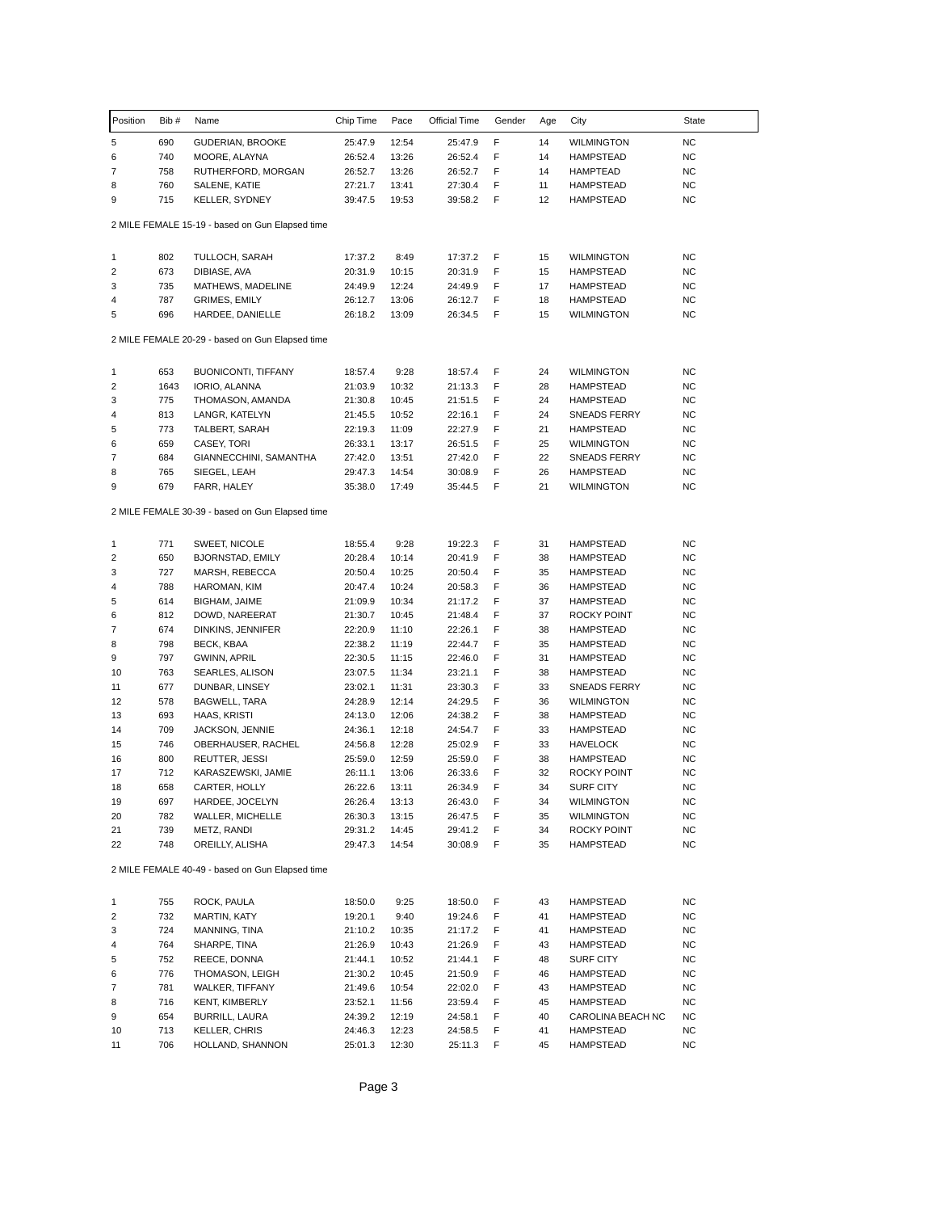| Position       | Bib# | Name                                            | Chip Time | Pace  | <b>Official Time</b> | Gender | Age | City                | State     |
|----------------|------|-------------------------------------------------|-----------|-------|----------------------|--------|-----|---------------------|-----------|
| 5              | 690  | GUDERIAN, BROOKE                                | 25:47.9   | 12:54 | 25:47.9              | F      | 14  | <b>WILMINGTON</b>   | <b>NC</b> |
| 6              | 740  | MOORE, ALAYNA                                   | 26:52.4   | 13:26 | 26:52.4              | F      | 14  | <b>HAMPSTEAD</b>    | <b>NC</b> |
| 7              | 758  | RUTHERFORD, MORGAN                              | 26:52.7   | 13:26 | 26:52.7              | F      | 14  | <b>HAMPTEAD</b>     | NC        |
| 8              | 760  | SALENE, KATIE                                   | 27:21.7   | 13:41 | 27:30.4              | F      | 11  | <b>HAMPSTEAD</b>    | <b>NC</b> |
| 9              | 715  | <b>KELLER, SYDNEY</b>                           | 39:47.5   | 19:53 | 39:58.2              | F      | 12  | <b>HAMPSTEAD</b>    | <b>NC</b> |
|                |      | 2 MILE FEMALE 15-19 - based on Gun Elapsed time |           |       |                      |        |     |                     |           |
| 1              | 802  | TULLOCH, SARAH                                  | 17:37.2   | 8:49  | 17:37.2              | F      | 15  | <b>WILMINGTON</b>   | <b>NC</b> |
| $\overline{2}$ | 673  | DIBIASE, AVA                                    | 20:31.9   | 10:15 | 20:31.9              | F      | 15  | HAMPSTEAD           | NC        |
| 3              | 735  | MATHEWS, MADELINE                               | 24:49.9   | 12:24 | 24:49.9              | F      | 17  | <b>HAMPSTEAD</b>    | NC        |
| 4              | 787  | <b>GRIMES, EMILY</b>                            | 26:12.7   | 13:06 | 26:12.7              | F      | 18  | <b>HAMPSTEAD</b>    | NC        |
| 5              | 696  | HARDEE, DANIELLE                                | 26:18.2   | 13:09 | 26:34.5              | F      | 15  | <b>WILMINGTON</b>   | <b>NC</b> |
|                |      | 2 MILE FEMALE 20-29 - based on Gun Elapsed time |           |       |                      |        |     |                     |           |
| 1              | 653  | <b>BUONICONTI, TIFFANY</b>                      | 18:57.4   | 9:28  | 18:57.4              | F      | 24  | <b>WILMINGTON</b>   | <b>NC</b> |
| 2              | 1643 | IORIO, ALANNA                                   | 21:03.9   | 10:32 | 21:13.3              | F      | 28  | <b>HAMPSTEAD</b>    | NC        |
| 3              | 775  | THOMASON, AMANDA                                | 21:30.8   | 10:45 | 21:51.5              | F      | 24  | <b>HAMPSTEAD</b>    | NC        |
| 4              | 813  | LANGR, KATELYN                                  | 21:45.5   | 10:52 | 22:16.1              | F      | 24  | <b>SNEADS FERRY</b> | NC        |
| 5              | 773  | TALBERT, SARAH                                  | 22:19.3   | 11:09 | 22:27.9              | F      | 21  | <b>HAMPSTEAD</b>    | NC        |
| 6              | 659  | CASEY, TORI                                     | 26:33.1   | 13:17 | 26:51.5              | F      | 25  | <b>WILMINGTON</b>   | <b>NC</b> |
| 7              | 684  | GIANNECCHINI, SAMANTHA                          | 27:42.0   | 13:51 | 27:42.0              | F      | 22  | <b>SNEADS FERRY</b> | <b>NC</b> |
| 8              | 765  | SIEGEL, LEAH                                    | 29:47.3   | 14:54 | 30:08.9              | F      | 26  | <b>HAMPSTEAD</b>    | <b>NC</b> |
| 9              | 679  | FARR, HALEY                                     | 35:38.0   | 17:49 | 35:44.5              | F      | 21  | <b>WILMINGTON</b>   | <b>NC</b> |
|                |      | 2 MILE FEMALE 30-39 - based on Gun Elapsed time |           |       |                      |        |     |                     |           |
| 1              | 771  | SWEET, NICOLE                                   | 18:55.4   | 9:28  | 19:22.3              | F      | 31  | <b>HAMPSTEAD</b>    | <b>NC</b> |
| 2              | 650  | <b>BJORNSTAD, EMILY</b>                         | 20:28.4   | 10:14 | 20:41.9              | F      | 38  | <b>HAMPSTEAD</b>    | <b>NC</b> |
| 3              | 727  | MARSH, REBECCA                                  | 20:50.4   | 10:25 | 20:50.4              | F      | 35  | <b>HAMPSTEAD</b>    | <b>NC</b> |
| 4              | 788  | HAROMAN, KIM                                    | 20:47.4   | 10:24 | 20:58.3              | F      | 36  | <b>HAMPSTEAD</b>    | NC        |
| 5              | 614  | BIGHAM, JAIME                                   | 21:09.9   | 10:34 | 21:17.2              | F      | 37  | <b>HAMPSTEAD</b>    | NC        |
| 6              | 812  | DOWD, NAREERAT                                  | 21:30.7   | 10:45 | 21:48.4              | F      | 37  | ROCKY POINT         | NC        |
| 7              | 674  | DINKINS, JENNIFER                               | 22:20.9   | 11:10 | 22:26.1              | F      | 38  | <b>HAMPSTEAD</b>    | NC        |
| 8              | 798  | BECK, KBAA                                      | 22:38.2   | 11:19 | 22:44.7              | F      | 35  | <b>HAMPSTEAD</b>    | NC        |
| 9              | 797  | <b>GWINN, APRIL</b>                             | 22:30.5   | 11:15 | 22:46.0              | F      | 31  | <b>HAMPSTEAD</b>    | NC        |
| 10             | 763  | SEARLES, ALISON                                 | 23:07.5   | 11:34 | 23:21.1              | F      | 38  | <b>HAMPSTEAD</b>    | <b>NC</b> |
| 11             | 677  | DUNBAR, LINSEY                                  | 23:02.1   | 11:31 | 23:30.3              | F      | 33  | <b>SNEADS FERRY</b> | NC        |
| 12             | 578  | BAGWELL, TARA                                   | 24:28.9   | 12:14 | 24:29.5              | F      | 36  | <b>WILMINGTON</b>   | <b>NC</b> |
| 13             | 693  | HAAS, KRISTI                                    | 24:13.0   | 12:06 | 24:38.2              | F      | 38  | <b>HAMPSTEAD</b>    | NC        |
| 14             | 709  | JACKSON, JENNIE                                 | 24:36.1   | 12:18 | 24:54.7              | F      | 33  | <b>HAMPSTEAD</b>    | NC        |
| 15             | 746  | OBERHAUSER, RACHEL                              | 24:56.8   | 12:28 | 25:02.9              | F      | 33  | <b>HAVELOCK</b>     | NC        |
| 16             | 800  | REUTTER, JESSI                                  | 25:59.0   | 12:59 | 25:59.0              | F      | 38  | <b>HAMPSTEAD</b>    | ΝC        |
| 17             | 712  | KARASZEWSKI, JAMIE                              | 26:11.1   | 13:06 | 26:33.6              | F      | 32  | ROCKY POINT         | <b>NC</b> |
| 18             | 658  | CARTER, HOLLY                                   | 26:22.6   | 13:11 | 26:34.9              | F      | 34  | <b>SURF CITY</b>    | <b>NC</b> |
| 19             | 697  | HARDEE, JOCELYN                                 | 26:26.4   | 13:13 | 26:43.0              | F      | 34  | <b>WILMINGTON</b>   | <b>NC</b> |
| 20             | 782  | WALLER, MICHELLE                                | 26:30.3   | 13:15 | 26:47.5              | F      | 35  | <b>WILMINGTON</b>   | <b>NC</b> |
| 21             | 739  | METZ, RANDI                                     | 29:31.2   | 14:45 | 29:41.2              | F      | 34  | ROCKY POINT         | NC        |
| 22             | 748  | OREILLY, ALISHA                                 | 29:47.3   | 14:54 | 30:08.9              | F      | 35  | <b>HAMPSTEAD</b>    | NC        |
|                |      | 2 MILE FEMALE 40-49 - based on Gun Elapsed time |           |       |                      |        |     |                     |           |
| 1              | 755  | ROCK, PAULA                                     | 18:50.0   | 9:25  | 18:50.0              | F      | 43  | <b>HAMPSTEAD</b>    | <b>NC</b> |
| 2              | 732  | MARTIN, KATY                                    | 19:20.1   | 9:40  | 19:24.6              | F      | 41  | <b>HAMPSTEAD</b>    | <b>NC</b> |
| 3              | 724  | MANNING, TINA                                   | 21:10.2   | 10:35 | 21:17.2              | F      | 41  | <b>HAMPSTEAD</b>    | <b>NC</b> |
| 4              | 764  | SHARPE, TINA                                    | 21:26.9   | 10:43 | 21:26.9              | F      | 43  | <b>HAMPSTEAD</b>    | <b>NC</b> |
| 5              | 752  | REECE, DONNA                                    | 21:44.1   | 10:52 | 21:44.1              | F      | 48  | SURF CITY           | NC        |
| 6              | 776  | THOMASON, LEIGH                                 | 21:30.2   | 10:45 | 21:50.9              | F      | 46  | <b>HAMPSTEAD</b>    | NC        |
| 7              | 781  | WALKER, TIFFANY                                 | 21:49.6   | 10:54 | 22:02.0              | F      | 43  | <b>HAMPSTEAD</b>    | NC        |
| 8              | 716  | KENT, KIMBERLY                                  | 23:52.1   | 11:56 | 23:59.4              | F      | 45  | <b>HAMPSTEAD</b>    | <b>NC</b> |
| 9              | 654  | BURRILL, LAURA                                  | 24:39.2   | 12:19 | 24:58.1              | F      | 40  | CAROLINA BEACH NC   | <b>NC</b> |
| 10             | 713  | KELLER, CHRIS                                   | 24:46.3   | 12:23 | 24:58.5              | F      | 41  | <b>HAMPSTEAD</b>    | <b>NC</b> |
| 11             | 706  | HOLLAND, SHANNON                                | 25:01.3   | 12:30 | 25:11.3              | F      | 45  | <b>HAMPSTEAD</b>    | NC        |